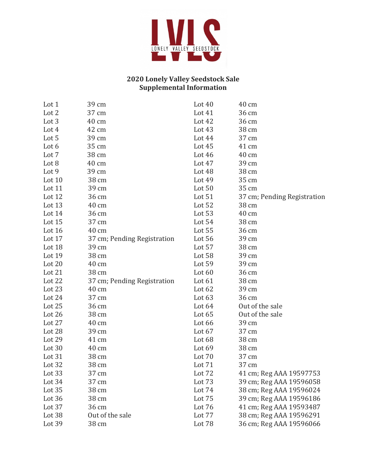

## **2020 Lonely Valley Seedstock Sale Supplemental Information**

| Lot 1  | 39 cm                       | Lot $40$ | 40 cm                       |
|--------|-----------------------------|----------|-----------------------------|
| Lot 2  | 37 cm                       | Lot 41   | 36 cm                       |
| Lot 3  | 40 cm                       | Lot 42   | 36 cm                       |
| Lot 4  | 42 cm                       | Lot $43$ | 38 cm                       |
| Lot 5  | 39 cm                       | Lot 44   | 37 cm                       |
| Lot 6  | 35 cm                       | Lot $45$ | 41 cm                       |
| Lot 7  | 38 cm                       | Lot 46   | 40 cm                       |
| Lot 8  | 40 cm                       | Lot 47   | 39 cm                       |
| Lot 9  | 39 cm                       | Lot 48   | 38 cm                       |
| Lot 10 | 38 cm                       | Lot 49   | 35 cm                       |
| Lot 11 | 39 cm                       | Lot 50   | 35 cm                       |
| Lot 12 | 36 cm                       | Lot 51   | 37 cm; Pending Registration |
| Lot 13 | 40 cm                       | Lot 52   | 38 cm                       |
| Lot 14 | 36 cm                       | Lot 53   | 40 cm                       |
| Lot 15 | 37 cm                       | Lot 54   | 38 cm                       |
| Lot 16 | 40 cm                       | Lot 55   | 36 cm                       |
| Lot 17 | 37 cm; Pending Registration | Lot 56   | 39 cm                       |
| Lot 18 | 39 cm                       | Lot 57   | 38 cm                       |
| Lot 19 | 38 cm                       | Lot 58   | 39 cm                       |
| Lot 20 | 40 cm                       | Lot 59   | 39 cm                       |
| Lot 21 | 38 cm                       | Lot 60   | 36 cm                       |
| Lot 22 | 37 cm; Pending Registration | Lot $61$ | 38 cm                       |
| Lot 23 | 40 cm                       | Lot 62   | 39 cm                       |
| Lot 24 | 37 cm                       | Lot 63   | 36 cm                       |
| Lot 25 | 36 cm                       | Lot 64   | Out of the sale             |
| Lot 26 | 38 cm                       | Lot 65   | Out of the sale             |
| Lot 27 | 40 cm                       | Lot 66   | 39 cm                       |
| Lot 28 | 39 cm                       | Lot 67   | 37 cm                       |
| Lot 29 | 41 cm                       | Lot 68   | 38 cm                       |
| Lot 30 | 40 cm                       | Lot 69   | 38 cm                       |
| Lot 31 | 38 cm                       | Lot 70   | 37 cm                       |
| Lot 32 | 38 cm                       | Lot 71   | 37 cm                       |
| Lot 33 | 37 cm                       | Lot 72   | 41 cm; Reg AAA 19597753     |
| Lot 34 | 37 cm                       | Lot 73   | 39 cm; Reg AAA 19596058     |
| Lot 35 | 38 cm                       | Lot 74   | 38 cm; Reg AAA 19596024     |
| Lot 36 | 38 cm                       | Lot 75   | 39 cm; Reg AAA 19596186     |
| Lot 37 | 36 cm                       | Lot 76   | 41 cm; Reg AAA 19593487     |
| Lot 38 | Out of the sale             | Lot 77   | 38 cm; Reg AAA 19596291     |
| Lot 39 | 38 cm                       | Lot 78   | 36 cm; Reg AAA 19596066     |
|        |                             |          |                             |